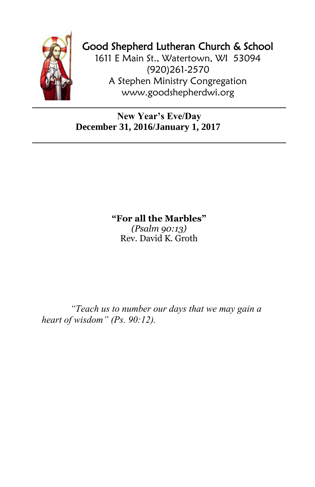

## Good Shepherd Lutheran Church & School

1611 E Main St., Watertown, WI 53094 (920)261-2570 A Stephen Ministry Congregation [www.goodshepherdwi.org](http://www.goodshepherdwi.org/)

## **New Year's Eve/Day December 31, 2016/January 1, 2017**

**"For all the Marbles"**

*(Psalm 90:13)* Rev. David K. Groth

*"Teach us to number our days that we may gain a heart of wisdom" (Ps. 90:12).*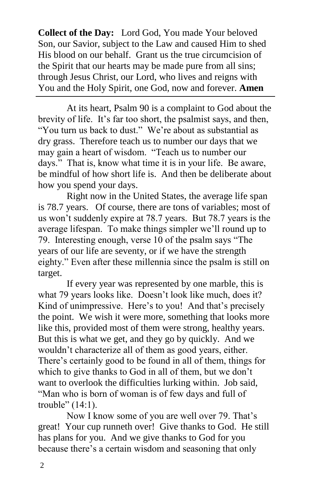**Collect of the Day:** Lord God, You made Your beloved Son, our Savior, subject to the Law and caused Him to shed His blood on our behalf. Grant us the true circumcision of the Spirit that our hearts may be made pure from all sins; through Jesus Christ, our Lord, who lives and reigns with You and the Holy Spirit, one God, now and forever. **Amen**

At its heart, Psalm 90 is a complaint to God about the brevity of life. It's far too short, the psalmist says, and then, "You turn us back to dust." We're about as substantial as dry grass. Therefore teach us to number our days that we may gain a heart of wisdom. "Teach us to number our days." That is, know what time it is in your life. Be aware, be mindful of how short life is. And then be deliberate about how you spend your days.

Right now in the United States, the average life span is 78.7 years. Of course, there are tons of variables; most of us won't suddenly expire at 78.7 years. But 78.7 years is the average lifespan. To make things simpler we'll round up to 79. Interesting enough, verse 10 of the psalm says "The years of our life are seventy, or if we have the strength eighty." Even after these millennia since the psalm is still on target.

If every year was represented by one marble, this is what 79 years looks like. Doesn't look like much, does it? Kind of unimpressive. Here's to you! And that's precisely the point. We wish it were more, something that looks more like this, provided most of them were strong, healthy years. But this is what we get, and they go by quickly. And we wouldn't characterize all of them as good years, either. There's certainly good to be found in all of them, things for which to give thanks to God in all of them, but we don't want to overlook the difficulties lurking within. Job said, "Man who is born of woman is of few days and full of trouble" (14:1).

Now I know some of you are well over 79. That's great! Your cup runneth over! Give thanks to God. He still has plans for you. And we give thanks to God for you because there's a certain wisdom and seasoning that only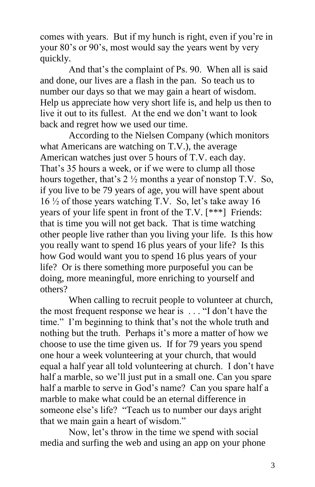comes with years. But if my hunch is right, even if you're in your 80's or 90's, most would say the years went by very quickly.

And that's the complaint of Ps. 90. When all is said and done, our lives are a flash in the pan. So teach us to number our days so that we may gain a heart of wisdom. Help us appreciate how very short life is, and help us then to live it out to its fullest. At the end we don't want to look back and regret how we used our time.

According to the Nielsen Company (which monitors what Americans are watching on T.V.), the average American watches just over 5 hours of T.V. each day. That's 35 hours a week, or if we were to clump all those hours together, that's  $2\frac{1}{2}$  months a year of nonstop T.V. So, if you live to be 79 years of age, you will have spent about 16 ½ of those years watching T.V. So, let's take away 16 years of your life spent in front of the T.V. [\*\*\*] Friends: that is time you will not get back. That is time watching other people live rather than you living your life. Is this how you really want to spend 16 plus years of your life? Is this how God would want you to spend 16 plus years of your life? Or is there something more purposeful you can be doing, more meaningful, more enriching to yourself and others?

When calling to recruit people to volunteer at church, the most frequent response we hear is . . . "I don't have the time." I'm beginning to think that's not the whole truth and nothing but the truth. Perhaps it's more a matter of how we choose to use the time given us. If for 79 years you spend one hour a week volunteering at your church, that would equal a half year all told volunteering at church. I don't have half a marble, so we'll just put in a small one. Can you spare half a marble to serve in God's name? Can you spare half a marble to make what could be an eternal difference in someone else's life? "Teach us to number our days aright that we main gain a heart of wisdom."

Now, let's throw in the time we spend with social media and surfing the web and using an app on your phone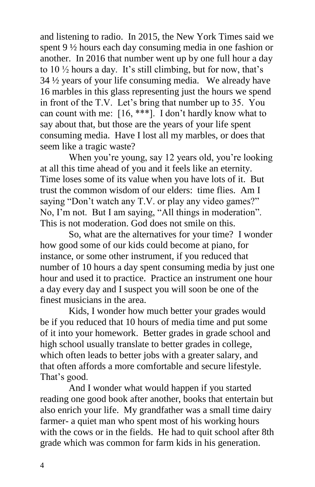and listening to radio. In 2015, the New York Times said we spent 9 ½ hours each day consuming media in one fashion or another. In 2016 that number went up by one full hour a day to  $10\frac{1}{2}$  hours a day. It's still climbing, but for now, that's 34 ½ years of your life consuming media. We already have 16 marbles in this glass representing just the hours we spend in front of the T.V. Let's bring that number up to 35. You can count with me: [16, \*\*\*]. I don't hardly know what to say about that, but those are the years of your life spent consuming media. Have I lost all my marbles, or does that seem like a tragic waste?

When you're young, say 12 years old, you're looking at all this time ahead of you and it feels like an eternity. Time loses some of its value when you have lots of it. But trust the common wisdom of our elders: time flies. Am I saying "Don't watch any T.V. or play any video games?" No, I'm not. But I am saying, "All things in moderation". This is not moderation. God does not smile on this.

So, what are the alternatives for your time? I wonder how good some of our kids could become at piano, for instance, or some other instrument, if you reduced that number of 10 hours a day spent consuming media by just one hour and used it to practice. Practice an instrument one hour a day every day and I suspect you will soon be one of the finest musicians in the area.

Kids, I wonder how much better your grades would be if you reduced that 10 hours of media time and put some of it into your homework. Better grades in grade school and high school usually translate to better grades in college, which often leads to better jobs with a greater salary, and that often affords a more comfortable and secure lifestyle. That's good.

And I wonder what would happen if you started reading one good book after another, books that entertain but also enrich your life. My grandfather was a small time dairy farmer- a quiet man who spent most of his working hours with the cows or in the fields. He had to quit school after 8th grade which was common for farm kids in his generation.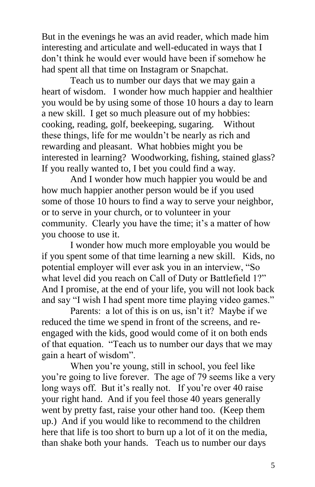But in the evenings he was an avid reader, which made him interesting and articulate and well-educated in ways that I don't think he would ever would have been if somehow he had spent all that time on Instagram or Snapchat.

Teach us to number our days that we may gain a heart of wisdom. I wonder how much happier and healthier you would be by using some of those 10 hours a day to learn a new skill. I get so much pleasure out of my hobbies: cooking, reading, golf, beekeeping, sugaring. Without these things, life for me wouldn't be nearly as rich and rewarding and pleasant. What hobbies might you be interested in learning? Woodworking, fishing, stained glass? If you really wanted to, I bet you could find a way.

And I wonder how much happier you would be and how much happier another person would be if you used some of those 10 hours to find a way to serve your neighbor, or to serve in your church, or to volunteer in your community. Clearly you have the time; it's a matter of how you choose to use it.

I wonder how much more employable you would be if you spent some of that time learning a new skill. Kids, no potential employer will ever ask you in an interview, "So what level did you reach on Call of Duty or Battlefield 1?" And I promise, at the end of your life, you will not look back and say "I wish I had spent more time playing video games."

Parents: a lot of this is on us, isn't it? Maybe if we reduced the time we spend in front of the screens, and reengaged with the kids, good would come of it on both ends of that equation. "Teach us to number our days that we may gain a heart of wisdom".

When you're young, still in school, you feel like you're going to live forever. The age of 79 seems like a very long ways off. But it's really not. If you're over 40 raise your right hand. And if you feel those 40 years generally went by pretty fast, raise your other hand too. (Keep them up.) And if you would like to recommend to the children here that life is too short to burn up a lot of it on the media, than shake both your hands. Teach us to number our days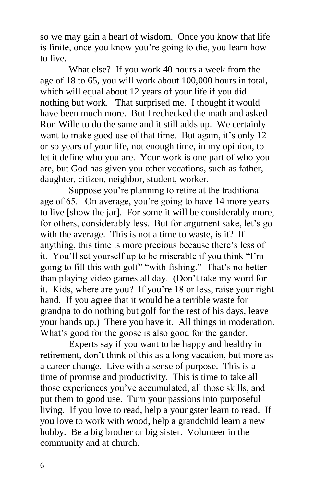so we may gain a heart of wisdom. Once you know that life is finite, once you know you're going to die, you learn how to live.

What else? If you work 40 hours a week from the age of 18 to 65, you will work about 100,000 hours in total, which will equal about 12 years of your life if you did nothing but work. That surprised me. I thought it would have been much more. But I rechecked the math and asked Ron Wille to do the same and it still adds up. We certainly want to make good use of that time. But again, it's only 12 or so years of your life, not enough time, in my opinion, to let it define who you are. Your work is one part of who you are, but God has given you other vocations, such as father, daughter, citizen, neighbor, student, worker.

Suppose you're planning to retire at the traditional age of 65. On average, you're going to have 14 more years to live [show the jar]. For some it will be considerably more, for others, considerably less. But for argument sake, let's go with the average. This is not a time to waste, is it? If anything, this time is more precious because there's less of it. You'll set yourself up to be miserable if you think "I'm going to fill this with golf" "with fishing." That's no better than playing video games all day. (Don't take my word for it. Kids, where are you? If you're 18 or less, raise your right hand. If you agree that it would be a terrible waste for grandpa to do nothing but golf for the rest of his days, leave your hands up.) There you have it. All things in moderation. What's good for the goose is also good for the gander.

Experts say if you want to be happy and healthy in retirement, don't think of this as a long vacation, but more as a career change. Live with a sense of purpose. This is a time of promise and productivity. This is time to take all those experiences you've accumulated, all those skills, and put them to good use. Turn your passions into purposeful living. If you love to read, help a youngster learn to read. If you love to work with wood, help a grandchild learn a new hobby. Be a big brother or big sister. Volunteer in the community and at church.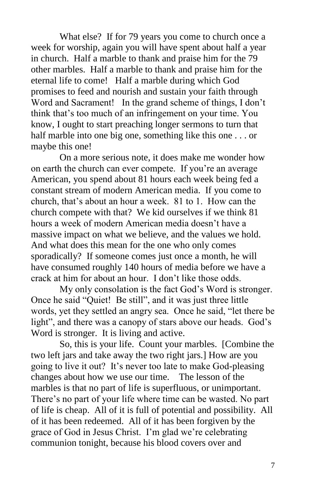What else? If for 79 years you come to church once a week for worship, again you will have spent about half a year in church. Half a marble to thank and praise him for the 79 other marbles. Half a marble to thank and praise him for the eternal life to come! Half a marble during which God promises to feed and nourish and sustain your faith through Word and Sacrament! In the grand scheme of things, I don't think that's too much of an infringement on your time. You know, I ought to start preaching longer sermons to turn that half marble into one big one, something like this one . . . or maybe this one!

On a more serious note, it does make me wonder how on earth the church can ever compete. If you're an average American, you spend about 81 hours each week being fed a constant stream of modern American media. If you come to church, that's about an hour a week. 81 to 1. How can the church compete with that? We kid ourselves if we think 81 hours a week of modern American media doesn't have a massive impact on what we believe, and the values we hold. And what does this mean for the one who only comes sporadically? If someone comes just once a month, he will have consumed roughly 140 hours of media before we have a crack at him for about an hour. I don't like those odds.

My only consolation is the fact God's Word is stronger. Once he said "Quiet! Be still", and it was just three little words, yet they settled an angry sea. Once he said, "let there be light", and there was a canopy of stars above our heads. God's Word is stronger. It is living and active.

So, this is your life. Count your marbles. [Combine the two left jars and take away the two right jars.] How are you going to live it out? It's never too late to make God-pleasing changes about how we use our time. The lesson of the marbles is that no part of life is superfluous, or unimportant. There's no part of your life where time can be wasted. No part of life is cheap. All of it is full of potential and possibility. All of it has been redeemed. All of it has been forgiven by the grace of God in Jesus Christ. I'm glad we're celebrating communion tonight, because his blood covers over and